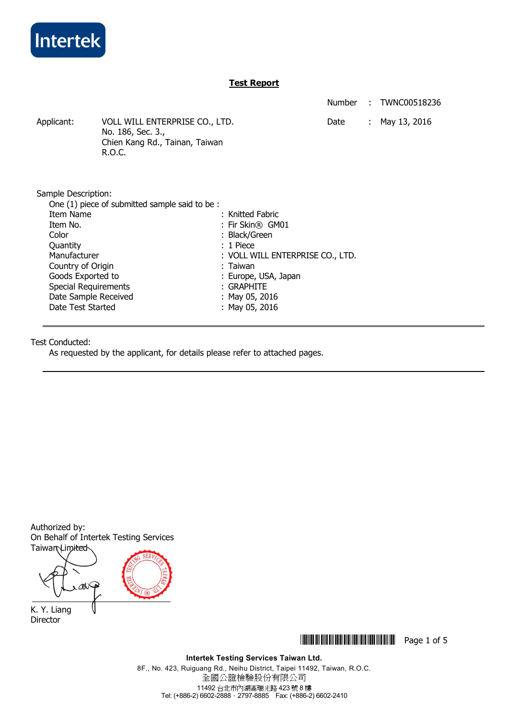

## **Test Report**

Number : TWNC00518236

Applicant: VOLL WILL ENTERPRISE CO., LTD. Date : May 13, 2016 No. 186, Sec. 3., Chien Kang Rd., Tainan, Taiwan R.O.C.

Sample Description:

| One (1) piece of submitted sample said to be: |                                  |
|-----------------------------------------------|----------------------------------|
| Item Name                                     | : Knitted Fabric                 |
| Item No.                                      | : Fir Skin® GM01                 |
| Color                                         | : Black/Green                    |
| Quantity                                      | $: 1$ Piece                      |
| Manufacturer                                  | : VOLL WILL ENTERPRISE CO., LTD. |
| Country of Origin                             | : Taiwan                         |
| Goods Exported to                             | : Europe, USA, Japan             |
| <b>Special Requirements</b>                   | $:$ Graphite                     |
| Date Sample Received                          | : May 05, 2016                   |
| Date Test Started                             | : May 05, 2016                   |

Test Conducted:

As requested by the applicant, for details please refer to attached pages.

Authorized by: On Behalf of Intertek Testing Services

Taiwan Limited aN K. Y. Liang

Director

**THEFT IN SET OF 5** THE SET OF 5

**Intertek Testing Services Taiwan Ltd.** 

8F., No. 423, Ruiguang Rd., Neihu District, Taipei 11492, Taiwan, R.O.C. 全國公證檢驗股份有限公司 11492 台北市內湖區瑞光路 423 號 8 樓 Tel: (+886-2) 6602-2888.2797-8885 Fax: (+886-2) 6602-2410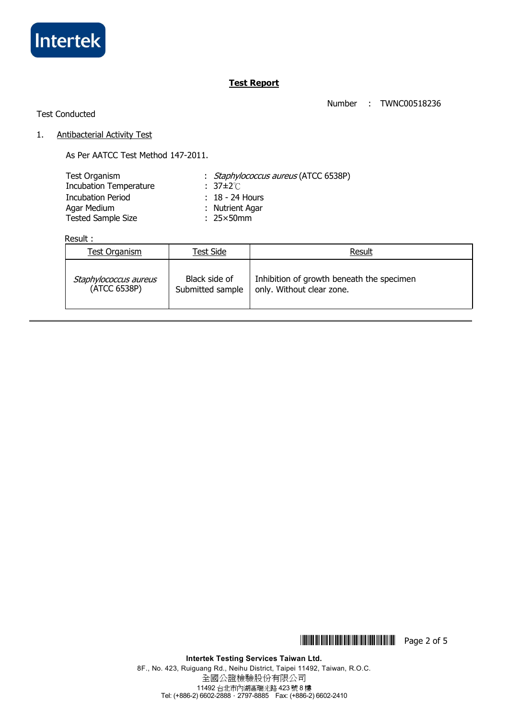

# **Test Report**

Number : TWNC00518236

## Test Conducted

### 1. Antibacterial Activity Test

As Per AATCC Test Method 147-2011.

| Test Organism                 | : <i>Staphylococcus aureus</i> (ATCC 6538P) |
|-------------------------------|---------------------------------------------|
| <b>Incubation Temperature</b> | $: 37 \pm 2^{\circ}$ C                      |
| <b>Incubation Period</b>      | $: 18 - 24$ Hours                           |
| Agar Medium                   | : Nutrient Agar                             |
| <b>Tested Sample Size</b>     | $: 25 \times 50$ mm                         |

## Result :

| Test Organism         | Test Side        | Result                                    |
|-----------------------|------------------|-------------------------------------------|
| Staphylococcus aureus | Black side of    | Inhibition of growth beneath the specimen |
| (ATCC 6538P)          | Submitted sample | only. Without clear zone.                 |

**THEFTH THEFTH THEFTH THEFTH** Page 2 of 5

**Intertek Testing Services Taiwan Ltd.**  8F., No. 423, Ruiguang Rd., Neihu District, Taipei 11492, Taiwan, R.O.C. 全國公證檢驗股份有限公司 11492 台北市內湖區瑞光路 423 號 8 樓 Tel: (+886-2) 6602-2888.2797-8885 Fax: (+886-2) 6602-2410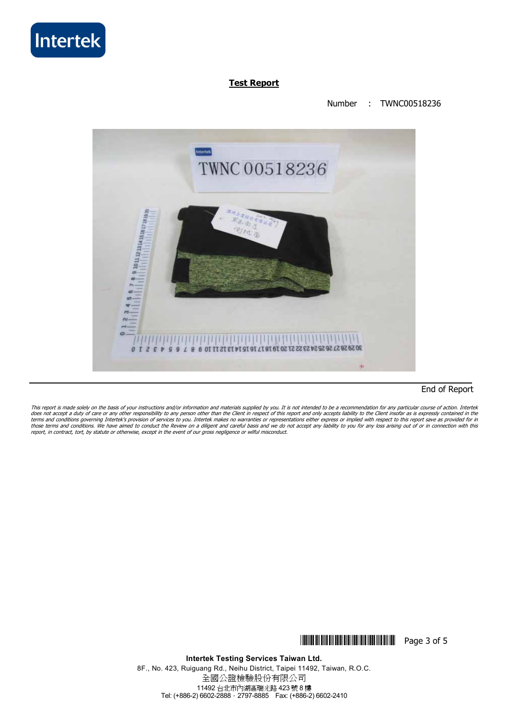

## **Test Report**

### Number : TWNC00518236



### End of Report

This report is made solely on the basis of your instructions and/or information and materials supplied by you. It is not intended to be a recommendation for any particular course of action. Intertek does not accept a duty of care or any other responsibility to any person other than the Client in respect of this report and only accepts liability to the Client insofar as is expressly contained in the<br>terms and condition

# **THEFT IS NOT THE THEFT IN THE THEFT IS THE Page 3 of 5**

**Intertek Testing Services Taiwan Ltd.**  8F., No. 423, Ruiguang Rd., Neihu District, Taipei 11492, Taiwan, R.O.C. 全國公證檢驗股份有限公司 11492 台北市內湖區瑞光路 423 號 8 樓 Tel: (+886-2) 6602-2888.2797-8885 Fax: (+886-2) 6602-2410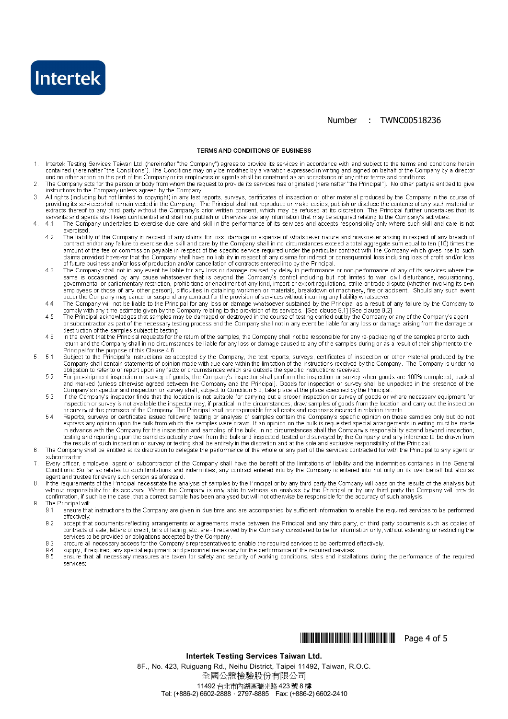

### Number : TWNC00518236

#### **TERMS AND CONDITIONS OF BUSINESS**

- Intertek Testing Services Taiwan Ltd. (hereinafter "the Company") agrees to provide its services in accordance with and subject to the terms and conditions herein  $\mathbf{1}$ contained (hereinafter "the Conditions"). The Conditions may only be modified by a variation expressed in writing and signed on behalf of the Company by a director and no other action on the part of the Company or its employees or agents shall be construed as an acceptance of any other terms and conditions
- The Company acts for the person or body from whom the request to provide its services has originated (hereinafter "the Principal"). No other party is entitled to give<br>instructions to the Company unless agreed by the Compan  $\overline{2}$
- All rights (including but not limited to copyright) in any test reports, surveys, certificates of inspection or other material produced by the Company in the course of 3 examples (including but not infined to copyright) in any lest reports, surveys, centificates of inspection or other material produced by the Company in the course of providing its services of providing its service of maker
- $\overline{A}$  $41$ exercised
	- 4.2 The liability of the Company in respect of any claims for loss, damage or expense of whatsoever nature and howsoever arising in respect of any breach of contract and/or any failure to exercise due skill and care by the Com diams provided however that the Company shall have no liability in respect of any claims for indirect or consequential loss including loss of profit and/or loss of future business and/or loss of production and/or cancellation of contracts entered into by the Principal.
	- The Company shall not in any event be liable for any loss or damage caused by delay in performance or non-performance of any of its services where the same is occasioned by any cause whatsoever that is beyond the Company's  $A, 2$ employees or those of any other person), difficulties in obtaining workmen or materials, breakdown of machinery, fire or accident. Should any such event occur the Company may cancel or suspend any contract for the provision of services without incurring any liability whatsoever.
	- The Company will not be liable to the Principal for any loss or damage whatsoever sustained by the Principal as a result of any failure by the Company to comply with any time estimate given by the Company to comply with an  $44$
	- $45$ The Principal acknowledges that samples may be damaged or destroyed in the course of testing carried out by the Company or any of the Company's agent or subcontractor as part of the necessary testing process and the Company shall not in any event be liable for any loss or damage arising from the damage or
	- destruction of the samples subject to testing.<br>In the event that the Principal requests for the return of the samples, the Company shall not be responsible for any re-packaging of the samples prior to such return and the C 4 R Principal for the purpose of this Clause 4.6.
	- Subject to the Principal's instructions as accepted by the Company, the test reports, surveys, certificates of inspection or other material produced by the Company shall contain statements of opinion made with due care wit  $-51$
	- For pre-shipment inspection or survey of goods, the Company's inspector shall perform the inspection or survey when goods are 100% completed, packed 52
	- For pre-simplified in the settion of survey of guous, the Company and the Principal. Goods for inspection or survey when guous are 100% completed, packed<br>Company's inspection and inspection or survey shall, subject to Cond 53
	- Support the previous of the company of the image of samples contain the Company's specific opinion on those samples only but do not express any opinion upon the bulk from which the samples were drawn. If an opinion on the 5.4 testing and reporting upon the samples actually drawn from the bulk and inspected, tested and surveyed by the Company and any inference to be drawn from the results of such inspection or survey or testing shall be entirely in the discretion and at the sole and exclusive responsibility of the Principal
- 6 The Company shall be entitled at its discretion to delegate the performance of the whole or any part of the services contracted for with the Principal to any agent or subcontractor
- $\overline{7}$ Every officer, employee, agent or subcontractor of the Company shall have the benefit of the limitations of liability and the indemnities contained in the General Conditions. So far as relates to such limitations and indemnities, any contract entered into by the Company is entered into not only on its own behalf but also as
- Superior and trustee for every such person as aforesaid.<br>If the requirements of the Principal necessitate the analysis of samples by the Principal or by any third party the Company will pass on the results of the analysis 8
- The Principal will: g

 $\overline{5}$ 

- $9.1$ ensure that instructions to the Company are given in due time and are accompanied by sufficient information to enable the required services to be performed effectively:
- accept that documents reflecting arrangements or agreements made between the Principal and any third party, or third party documents such as copies of  $9.2$ contracts of sale, letters of credit, bills of lading, etc. are -if received by the Company considered to be for information only, without extending or restricting the services to be provided or obligations accepted by the Company.
- procure all necessary access for the Company's representatives to enable the required services to be performed effectively. 9.3
- supply, if required, any special equipment and personnel necessary for the performance of the required services.<br>ensure that all necessary measures are taken for safety and security of working conditions, sites and install  $94$  $9.5$
- services:

# 

#### Intertek Testing Services Taiwan Ltd.

8F., No. 423, Ruiguang Rd., Neihu District, Taipei 11492, Taiwan, R.O.C. 全國公證檢驗股份有限公司

11492 台北市內湖區瑞光路 423號 8樓 Tel: (+886-2) 6602-2888 · 2797-8885 Fax: (+886-2) 6602-2410